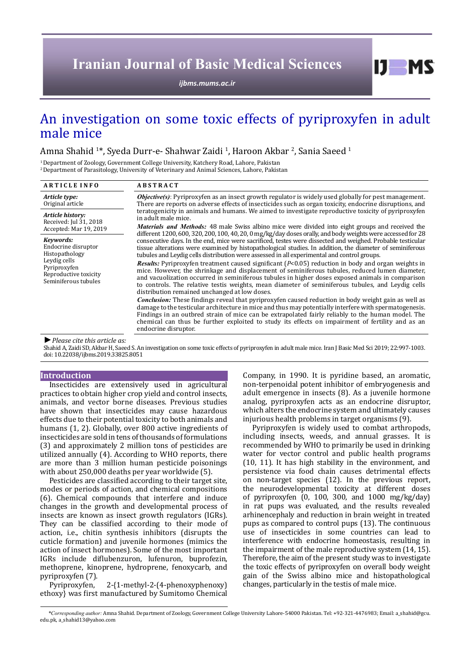## **Iranian Journal of Basic Medical Sciences**

*[ijbms.mums.ac.ir](http://ijbms.mums.ac.ir)*

# $I$   $I$   $M$   $S$

## An investigation on some toxic effects of pyriproxyfen in adult male mice

Amna Shahid <sup>1</sup>\*, Syeda Durr-e- Shahwar Zaidi <sup>1</sup>, Haroon Akbar <sup>2</sup>, Sania Saeed <sup>1</sup>

1 Department of Zoology, Government College University, Katchery Road, Lahore, Pakistan 2 Department of Parasitology, University of Veterinary and Animal Sciences, Lahore, Pakistan

| <b>ARTICLE INFO</b>                                                                                                                 | <b>ABSTRACT</b>                                                                                                                                                                                                                                                                                                                                                                                                                                                                                                                                     |  |  |  |  |
|-------------------------------------------------------------------------------------------------------------------------------------|-----------------------------------------------------------------------------------------------------------------------------------------------------------------------------------------------------------------------------------------------------------------------------------------------------------------------------------------------------------------------------------------------------------------------------------------------------------------------------------------------------------------------------------------------------|--|--|--|--|
| Article type:<br>Original article                                                                                                   | <b><i>Objective(s)</i></b> : Pyriproxyfen as an insect growth regulator is widely used globally for pest management.<br>There are reports on adverse effects of insecticides such as organ toxicity, endocrine disruptions, and                                                                                                                                                                                                                                                                                                                     |  |  |  |  |
| Article history:<br>Received: Jul 31, 2018<br>Accepted: Mar 19, 2019                                                                | teratogenicity in animals and humans. We aimed to investigate reproductive toxicity of pyriproxyfen<br>in adult male mice.<br><i>Materials and Methods:</i> 48 male Swiss albino mice were divided into eight groups and received the                                                                                                                                                                                                                                                                                                               |  |  |  |  |
| Kevwords:<br>Endocrine disruptor<br>Histopathology<br>Leydig cells<br>Pyriproxyfen<br>Reproductive toxicity<br>Seminiferous tubules | different 1200, 600, 320, 200, 100, 40, 20, 0 mg/kg/day doses orally, and body weights were accessed for 28<br>consecutive days. In the end, mice were sacrificed, testes were dissected and weighed. Probable testicular<br>tissue alterations were examined by histopathological studies. In addition, the diameter of seminiferous<br>tubules and Leydig cells distribution were assessed in all experimental and control groups.<br><b>Results:</b> Pyriproxyfen treatment caused significant $(P<0.05)$ reduction in body and organ weights in |  |  |  |  |
|                                                                                                                                     | mice. However, the shrinkage and displacement of seminiferous tubules, reduced lumen diameter,<br>and vacuolization occurred in seminiferous tubules in higher doses exposed animals in comparison<br>to controls. The relative testis weights, mean diameter of seminiferous tubules, and Leydig cells<br>distribution remained unchanged at low doses.                                                                                                                                                                                            |  |  |  |  |
|                                                                                                                                     | <i>Conclusion:</i> These findings reveal that pyriproxyfen caused reduction in body weight gain as well as<br>damage to the testicular architecture in mice and thus may potentially interfere with spermatogenesis.<br>Findings in an outbred strain of mice can be extrapolated fairly reliably to the human model. The<br>chemical can thus be further exploited to study its effects on impairment of fertility and as an<br>endocrine disruptor.                                                                                               |  |  |  |  |
| $\blacktriangleright$ Please cite this article as:                                                                                  | Shahid A Zaidi SD Akhar H Saeed S An investigation on some toxic effects of nyrinroxyfen in adult male mice Iran I Basic Med Sci 2019-22-997-1003                                                                                                                                                                                                                                                                                                                                                                                                   |  |  |  |  |

Shahid A, Zaidi SD, Akbar H, Saeed S. An investigation on some toxic effects of pyriproxyfen in adult male mice. Iran J Basic Med Sci 2019; 22:997-1003. doi: 10.22038/ijbms.2019.33825.8051

## **Introduction**

Insecticides are extensively used in agricultural practices to obtain higher crop yield and control insects, animals, and vector borne diseases. Previous studies have shown that insecticides may cause hazardous effects due to their potential toxicity to both animals and humans (1, 2). Globally, over 800 active ingredients of insecticides are sold in tens of thousands of formulations (3) and approximately 2 million tons of pesticides are utilized annually (4). According to WHO reports, there are more than 3 million human pesticide poisonings with about 250,000 deaths per year worldwide (5).

Pesticides are classified according to their target site, modes or periods of action, and chemical compositions (6). Chemical compounds that interfere and induce changes in the growth and developmental process of insects are known as insect growth regulators (IGRs). They can be classified according to their mode of action, i.e., chitin synthesis inhibitors (disrupts the cuticle formation) and juvenile hormones (mimics the action of insect hormones). Some of the most important IGRs include diflubenzuron, lufenuron, buprofezin, methoprene, kinoprene, hydroprene, fenoxycarb, and pyriproxyfen (7).

2-{1-methyl-2-(4-phenoxyphenoxy) ethoxy} was first manufactured by Sumitomo Chemical Company, in 1990. It is pyridine based, an aromatic, non-terpenoidal potent inhibitor of embryogenesis and adult emergence in insects (8). As a juvenile hormone analog, pyriproxyfen acts as an endocrine disruptor, which alters the endocrine system and ultimately causes injurious health problems in target organisms (9).

Pyriproxyfen is widely used to combat arthropods, including insects, weeds, and annual grasses. It is recommended by WHO to primarily be used in drinking water for vector control and public health programs (10, 11). It has high stability in the environment, and persistence via food chain causes detrimental effects on non-target species (12). In the previous report, the neurodevelopmental toxicity at different doses of pyriproxyfen (0, 100, 300, and 1000 mg/kg/day) in rat pups was evaluated, and the results revealed arhinencephaly and reduction in brain weight in treated pups as compared to control pups (13). The continuous use of insecticides in some countries can lead to interference with endocrine homeostasis, resulting in the impairment of the male reproductive system (14, 15). Therefore, the aim of the present study was to investigate the toxic effects of pyriproxyfen on overall body weight gain of the Swiss albino mice and histopathological changes, particularly in the testis of male mice.

*\*Corresponding author:* Amna Shahid. Department of Zoology, Government College University Lahore-54000 Pakistan. Tel: +92-321-4476983; Email: a\_shahid@gcu. edu.pk, a\_shahid13@yahoo.com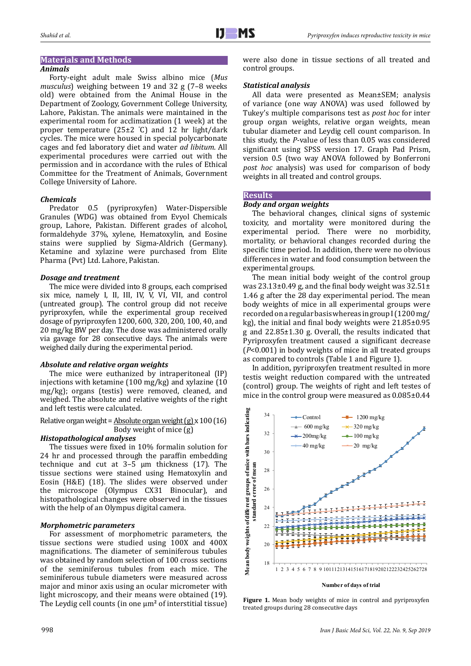## **Materials and Methods**

## *Animals*

Forty-eight adult male Swiss albino mice (*Mus musculus*) weighing between 19 and 32 g (7–8 weeks old) were obtained from the Animal House in the Department of Zoology, Government College University, Lahore, Pakistan. The animals were maintained in the experimental room for acclimatization (1 week) at the proper temperature (25±2 ° C) and 12 hr light/dark cycles. The mice were housed in special polycarbonate cages and fed laboratory diet and water *ad libitum*. All experimental procedures were carried out with the permission and in accordance with the rules of Ethical Committee for the Treatment of Animals, Government College University of Lahore.

## *Chemicals*

Predator 0.5 (pyriproxyfen) Water-Dispersible Granules (WDG) was obtained from Evyol Chemicals group, Lahore, Pakistan. Different grades of alcohol, formaldehyde 37%, xylene, Hematoxylin, and Eosine stains were supplied by Sigma-Aldrich (Germany). Ketamine and xylazine were purchased from Elite Pharma (Pvt) Ltd. Lahore, Pakistan.

## *Dosage and treatment*

The mice were divided into 8 groups, each comprised six mice, namely I, II, III, IV, V, VI, VII, and control (untreated group). The control group did not receive pyriproxyfen, while the experimental group received dosage of pyriproxyfen 1200, 600, 320, 200, 100, 40, and 20 mg/kg BW per day. The dose was administered orally via gavage for 28 consecutive days. The animals were weighed daily during the experimental period.

## *Absolute and relative organ weights*

The mice were euthanized by intraperitoneal (IP) injections with ketamine (100 mg/kg) and xylazine (10 mg/kg); organs (testis) were removed, cleaned, and weighed. The absolute and relative weights of the right and left testis were calculated.

Relative organ weight = Absolute organ weight (g) x 100 (16) Body weight of mice (g)

## *Histopathological analyses*

The tissues were fixed in 10% formalin solution for 24 hr and processed through the paraffin embedding technique and cut at  $3-5 \mu m$  thickness (17). The tissue sections were stained using Hematoxylin and Eosin (H&E) (18). The slides were observed under the microscope (Olympus CX31 Binocular), and histopathological changes were observed in the tissues with the help of an Olympus digital camera.

## *Morphometric parameters*

For assessment of morphometric parameters, the tissue sections were studied using 100X and 400X magnifications. The diameter of seminiferous tubules was obtained by random selection of 100 cross sections of the seminiferous tubules from each mice. The seminiferous tubule diameters were measured across major and minor axis using an ocular micrometer with light microscopy, and their means were obtained (19). The Leydig cell counts (in one µm**<sup>2</sup>** of interstitial tissue)

## *Statistical analysis*

All data were presented as Mean±SEM; analysis of variance (one way ANOVA) was used followed by Tukey's multiple comparisons test as *post hoc* for inter group organ weights, relative organ weights, mean tubular diameter and Leydig cell count comparison. In this study, the *P*-value of less than 0.05 was considered significant using SPSS version 17. Graph Pad Prism, version 0.5 (two way ANOVA followed by Bonferroni *post hoc* analysis) was used for comparison of body weights in all treated and control groups.

## **Results**

## *Body and organ weights*

The behavioral changes, clinical signs of systemic toxicity, and mortality were monitored during the experimental period. There were no morbidity, mortality, or behavioral changes recorded during the specific time period. In addition, there were no obvious differences in water and food consumption between the experimental groups.

The mean initial body weight of the control group was  $23.13\pm0.49$  g, and the final body weight was  $32.51\pm$ 1.46 g after the 28 day experimental period. The mean body weights of mice in all experimental groups were recorded on a regular basis whereas in group I (1200 mg/ kg), the initial and final body weights were 21.85±0.95 g and 22.85±1.30 g. Overall, the results indicated that Pyriproxyfen treatment caused a significant decrease (*P*<0.001) in body weights of mice in all treated groups as compared to controls (Table 1 and Figure 1).

In addition, pyriproxyfen treatment resulted in more testis weight reduction compared with the untreated (control) group. The weights of right and left testes of mice in the control group were measured as 0.085±0.44



**Figure 1.** Mean body weights of mice in control and pyriproxyfen treated groups during 28 consecutive days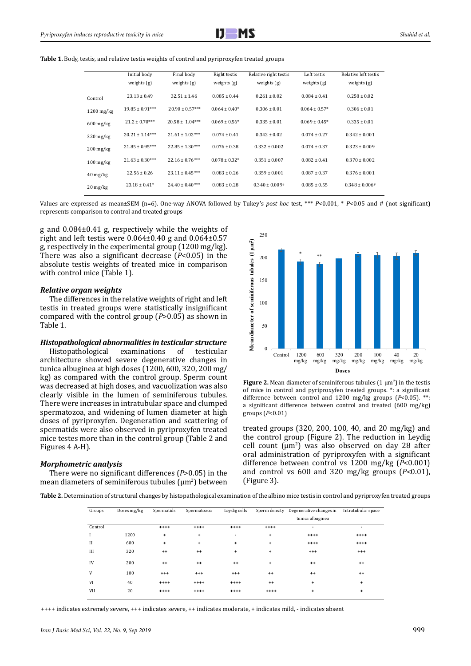

**Table 1.** Body, testis, and relative testis weights of control and pyriproxyfen treated groups

|                                  | Initial body        | Final body          | Right testis       | Relative right testis | Left testis       | Relative left testis |
|----------------------------------|---------------------|---------------------|--------------------|-----------------------|-------------------|----------------------|
|                                  |                     |                     |                    |                       |                   |                      |
|                                  | weights $(g)$       | weights $(g)$       | weights $(g)$      | weights $(g)$         | weights $(g)$     | weights $(g)$        |
| Control                          | $23.13 \pm 0.49$    | $32.51 \pm 1.46$    | $0.085 \pm 0.44$   | $0.261 \pm 0.02$      | $0.084 \pm 0.41$  | $0.258 \pm 0.02$     |
| $1200$ mg/kg                     | $19.85 \pm 0.91***$ | $20.90 \pm 0.57***$ | $0.064 \pm 0.40*$  | $0.306 \pm 0.01$      | $0.064 \pm 0.57*$ | $0.306 \pm 0.01$     |
| $600$ mg/kg                      | $21.2 \pm 0.70***$  | $20.58 \pm 1.04***$ | $0.069 \pm 0.56*$  | $0.335 \pm 0.01$      | $0.069 \pm 0.45*$ | $0.335 \pm 0.01$     |
| $320$ mg/kg                      | $20.21 \pm 1.14***$ | $21.61 \pm 1.02***$ | $0.074 \pm 0.41$   | $0.342 \pm 0.02$      | $0.074 \pm 0.27$  | $0.342 \pm 0.001$    |
| $200$ mg/kg                      | $21.85 \pm 0.95***$ | $22.85 \pm 1.30***$ | $0.076 \pm 0.38$   | $0.332 \pm 0.002$     | $0.074 \pm 0.37$  | $0.323 \pm 0.009$    |
| $100 \,\mathrm{mg/kg}$           | $21.63 \pm 0.30***$ | $22.16 \pm 0.76***$ | $0.078 \pm 0.32$ * | $0.351 \pm 0.007$     | $0.082 \pm 0.41$  | $0.370 \pm 0.002$    |
| $40 \frac{\text{mg}}{\text{kg}}$ | $22.56 \pm 0.26$    | $23.11 \pm 0.45***$ | $0.083 \pm 0.26$   | $0.359 \pm 0.001$     | $0.087 \pm 0.37$  | $0.376 \pm 0.001$    |
| $20 \frac{\text{mg}}{\text{kg}}$ | $23.18 \pm 0.41*$   | $24.40 \pm 0.40***$ | $0.083 \pm 0.28$   | $0.340 \pm 0.009$ #   | $0.085 \pm 0.55$  | $0.348 \pm 0.006$ #  |

Values are expressed as mean±SEM (n=6). One-way ANOVA followed by Tukey's *post hoc* test, \*\*\* *P*<0.001, \* *P*<0.05 and # (not significant) represents comparison to control and treated groups

g and 0.084±0.41 g, respectively while the weights of right and left testis were  $0.064\pm0.40$  g and  $0.064\pm0.57$ g, respectively in the experimental group (1200 mg/kg). There was also a significant decrease (*P*<0.05) in the absolute testis weights of treated mice in comparison with control mice (Table 1).

### *Relative organ weights*

The differences in the relative weights of right and left testis in treated groups were statistically insignificant compared with the control group (*P*>0.05) as shown in Table 1.

## *Histopathological abnormalities in testicular structure*

Histopathological examinations of testicular architecture showed severe degenerative changes in tunica albuginea at high doses (1200, 600, 320, 200 mg/ kg) as compared with the control group. Sperm count was decreased at high doses, and vacuolization was also clearly visible in the lumen of seminiferous tubules. There were increases in intratubular space and clumped spermatozoa, and widening of lumen diameter at high doses of pyriproxyfen. Degeneration and scattering of spermatids were also observed in pyriproxyfen treated mice testes more than in the control group (Table 2 and Figures 4 A-H).

### *Morphometric analysis*

There were no significant differences (*P*>0.05) in the mean diameters of seminiferous tubules  $(\mu m^2)$  between





treated groups (320, 200, 100, 40, and 20 mg/kg) and the control group (Figure 2). The reduction in Leydig cell count  $(\mu m^2)$  was also observed on day 28 after oral administration of pyriproxyfen with a significant difference between control vs 1200 mg/kg (*P*<0.001) and control vs 600 and 320 mg/kg groups (*P*<0.01), (Figure 3).

**Table 2.** Determination of structural changes by histopathological examination of the albino mice testis in control and pyriproxyfen treated groups

| Groups      | Doses mg/kg | Spermatids | Spermatozoa | Leydig cells | Sperm density | Degenerative changes in<br>tunica albuginea | Intratubular space |
|-------------|-------------|------------|-------------|--------------|---------------|---------------------------------------------|--------------------|
| Control     |             | $***$      | $***$       | $***$        | $***$         | $\overline{\phantom{a}}$                    | ٠                  |
|             | 1200        | $\ddot{}$  | $\ddot{}$   | ٠            | $\ddot{}$     | $***$                                       | $***$              |
| $_{\rm II}$ | 600         | $\ddot{}$  | ÷           | $\ddot{}$    | $\ddot{}$     | $***$                                       | $***$              |
| III         | 320         | $^{++}$    | $^{++}$     | $\ddot{}$    | $\ddot{}$     | $^{++}$                                     | $^{++}$            |
| IV          | 200         | $^{++}$    | $^{++}$     | $^{++}$      | $\ddot{}$     | $^{++}$                                     | $^{++}$            |
| V           | 100         | $^{++}$    | $^{++}$     | $^{++}$      | $^{++}$       | $^{++}$                                     | $++$               |
| VI          | 40          | $***$      | $***$       | $***$        | $^{++}$       | $\ddot{}$                                   | +                  |
| VII         | 20          | $***$      | $***$       | $***$        | $***$         | +                                           | ÷                  |
|             |             |            |             |              |               |                                             |                    |

++++ indicates extremely severe, +++ indicates severe, ++ indicates moderate, + indicates mild, - indicates absent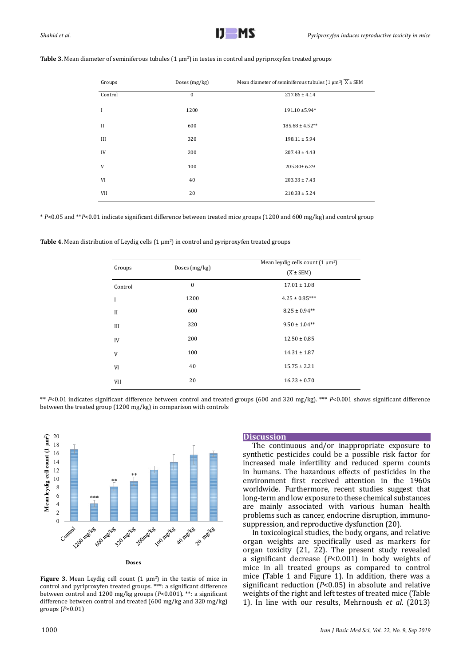| Groups       | Doses (mg/kg) | Mean diameter of seminiferous tubules $(1 \mu m^2) \overline{X} \pm$ SEM |
|--------------|---------------|--------------------------------------------------------------------------|
| Control      | $\mathbf{0}$  | $217.86 \pm 4.14$                                                        |
| I            | 1200          | 191.10 ±5.94*                                                            |
| $\mathbf{I}$ | 600           | $185.68 \pm 4.52**$                                                      |
| Ш            | 320           | $198.11 \pm 5.94$                                                        |
| IV           | 200           | $207.43 \pm 4.43$                                                        |
| V            | 100           | 205.80±6.29                                                              |
| VI           | 40            | $203.33 \pm 7.43$                                                        |
| VII          | 20            | $210.33 \pm 5.24$                                                        |

## **Table 3.** Mean diameter of seminiferous tubules (1  $\mu$ m<sup>2</sup>) in testes in control and pyriproxyfen treated groups

\* *P*<0.05 and \*\**P*<0.01 indicate significant difference between treated mice groups (1200 and 600 mg/kg) and control group

**Table 4.** Mean distribution of Leydig cells (1 µm<sup>2</sup> ) in control and pyriproxyfen treated groups

| Groups  | Doses (mg/kg)    | Mean leydig cells count $(1 \mu m^2)$<br>$(\overline{X} \pm SEM)$ |
|---------|------------------|-------------------------------------------------------------------|
| Control | $\boldsymbol{0}$ | $17.01 \pm 1.08$                                                  |
| I       | 1200             | $4.25 \pm 0.85***$                                                |
| $_{II}$ | 600              | $8.25 \pm 0.94***$                                                |
| Ш       | 320              | $9.50 \pm 1.04**$                                                 |
| IV      | 200              | $12.50 \pm 0.85$                                                  |
| V       | 100              | $14.31 \pm 1.87$                                                  |
| VI      | 40               | $15.75 \pm 2.21$                                                  |
| VII     | 20               | $16.23 \pm 0.70$                                                  |

\*\* *P*<0.01 indicates significant difference between control and treated groups (600 and 320 mg/kg). \*\*\* *P*<0.001 shows significant difference between the treated group (1200 mg/kg) in comparison with controls



**Figure 3.** Mean Leydig cell count  $(1 \mu m^2)$  in the testis of mice in control and pyriproxyfen treated groups. \*\*\*: a significant difference between control and 1200 mg/kg groups (*P*<0.001). \*\*: a significant difference between control and treated (600 mg/kg and 320 mg/kg) groups (*P*<0.01)

### **Discussion**

The continuous and/or inappropriate exposure to synthetic pesticides could be a possible risk factor for increased male infertility and reduced sperm counts in humans. The hazardous effects of pesticides in the environment first received attention in the 1960s worldwide. Furthermore, recent studies suggest that long-term and low exposure to these chemical substances are mainly associated with various human health problems such as cancer, endocrine disruption, immunosuppression, and reproductive dysfunction (20).

In toxicological studies, the body, organs, and relative organ weights are specifically used as markers for organ toxicity (21, 22). The present study revealed a significant decrease (*P*<0.001) in body weights of mice in all treated groups as compared to control mice (Table 1 and Figure 1). In addition, there was a significant reduction (*P*<0.05) in absolute and relative weights of the right and left testes of treated mice (Table 1). In line with our results, Mehrnoush *et al*. (2013)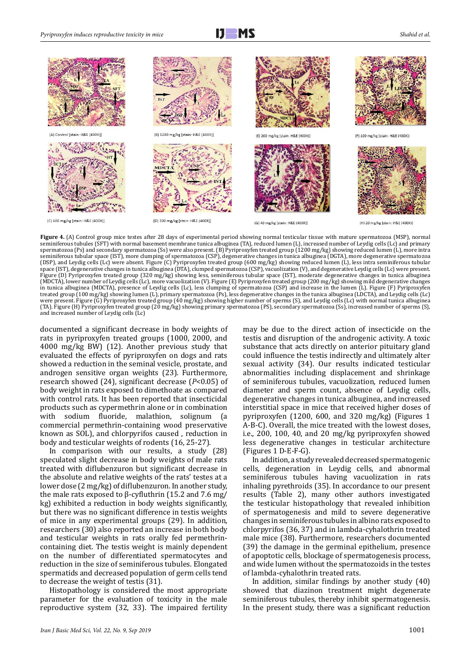



Figure 4. (A) Control group mice testes after 28 days of experimental period showing normal testicular tissue with mature spermatozoa (MSP), normal seminiferous tubules (SFT) with normal basement membrane tunica albuginea (TA), reduced lumen (L), increased number of Leydig cells (Lc) and primary spermatozoa (Ps) and secondary spermatozoa (Ss) were also present. (B) Pyriproxyfen treated group (1200 mg/kg) showing reduced lumen (L), more intra seminiferous tubular space (IST), more clumping of spermatozoa (CSP), degenerative changes in tunica albuginea (DGTA), more degenerative spermatozoa (DSP), and Leydig cells (Lc) were absent. Figure (C) Pyriproxyfen treated group (600 mg/kg) showing reduced lumen (L), less intra seminiferous tubular space (IST), degenerative changes in tunica albuginea (DTA), clumped spermatozoa (CSP), vacuolization (V), and degenerative Leydig cells (Lc) were present. Figure (D) Pyriproxyfen treated group (320 mg/kg) showing less, seminiferous tubular space (IST), moderate degenerative changes in tunica albuginea (MDCTA), lower number of Leydig cells (Lc), more vacuolization (V). Figure (E) Pyriproxyfen treated group (200 mg/kg) showing mild degenerative changes in tunica albuginea (MDCTA), presence of Leydig cells (Lc), less clumping of spermatozoa (CSP) and increase in the lumen (L). Figure (F) Pyriproxyfen treated group (100 mg/kg) showing lumen (L), primary spermatozoa (Ps), less degenerative changes in the tunica albuginea (LDCTA), and Leydig cells (Lc) were present. Figure (G) Pyriproxyfen treated group (40 mg/kg) showing higher number of sperms (S), and Leydig cells (Lc) with normal tunica albuginea (TA). Figure (H) Pyriproxyfen treated group (20 mg/kg) showing primary spermatozoa (PS), secondary spermatozoa (Ss), increased number of sperms (S), and increased number of Leydig cells (Lc)

documented a significant decrease in body weights of rats in pyriproxyfen treated groups (1000, 2000, and 4000 mg/kg BW) (12). Another previous study that evaluated the effects of pyriproxyfen on dogs and rats showed a reduction in the seminal vesicle, prostate, and androgen sensitive organ weights (23). Furthermore, research showed (24), significant decrease (*P*<0.05) of body weight in rats exposed to dimethoate as compared with control rats. It has been reported that insecticidal products such as cypermethrin alone or in combination with sodium fluoride, malathion, solignum (a commercial permethrin-containing wood preservative known as SOL), and chlorpyrifos caused , reduction in body and testicular weights of rodents (16, 25-27).

In comparison with our results, a study (28) speculated slight decrease in body weights of male rats treated with diflubenzuron but significant decrease in the absolute and relative weights of the rats' testes at a lower dose (2 mg/kg) of diflubenzuron. In another study, the male rats exposed to β-cyfluthrin (15.2 and 7.6 mg/ kg) exhibited a reduction in body weights significantly, but there was no significant difference in testis weights of mice in any experimental groups (29). In addition, researchers (30) also reported an increase in both body and testicular weights in rats orally fed permethrincontaining diet. The testis weight is mainly dependent on the number of differentiated spermatocytes and reduction in the size of seminiferous tubules. Elongated spermatids and decreased population of germ cells tend to decrease the weight of testis (31).

Histopathology is considered the most appropriate parameter for the evaluation of toxicity in the male reproductive system (32, 33). The impaired fertility may be due to the direct action of insecticide on the testis and disruption of the androgenic activity. A toxic substance that acts directly on anterior pituitary gland could influence the testis indirectly and ultimately alter sexual activity (34). Our results indicated testicular abnormalities including displacement and shrinkage of seminiferous tubules, vacuolization, reduced lumen diameter and sperm count, absence of Leydig cells, degenerative changes in tunica albuginea, and increased interstitial space in mice that received higher doses of pyriproxyfen (1200, 600, and 320 mg/kg) (Figures 1 A-B-C). Overall, the mice treated with the lowest doses, i.e., 200, 100, 40, and 20 mg/kg pyriproxyfen showed less degenerative changes in testicular architecture (Figures 1 D-E-F-G).

In addition, a study revealed decreased spermatogenic cells, degeneration in Leydig cells, and abnormal seminiferous tubules having vacuolization in rats inhaling pyrethroids (35). In accordance to our present results (Table 2), many other authors investigated the testicular histopathology that revealed inhibition of spermatogenesis and mild to severe degenerative changes in seminiferous tubules in albino rats exposed to chlorpyrifos (36, 37) and in lambda-cyhalothrin treated male mice (38). Furthermore, researchers documented (39) the damage in the germinal epithelium, presence of apoptotic cells, blockage of spermatogenesis process, and wide lumen without the spermatozoids in the testes of lambda-cyhalothrin treated rats.

In addition, similar findings by another study (40) showed that diazinon treatment might degenerate seminiferous tubules, thereby inhibit spermatogenesis. In the present study, there was a significant reduction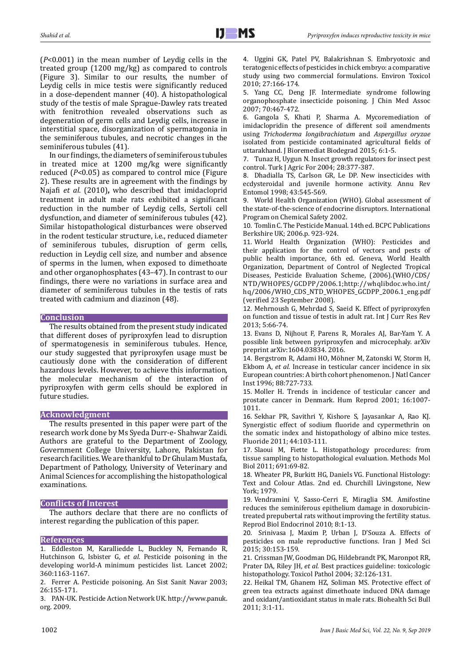(*P*<0.001) in the mean number of Leydig cells in the treated group (1200 mg/kg) as compared to controls (Figure 3). Similar to our results, the number of Leydig cells in mice testis were significantly reduced in a dose-dependent manner (40). A histopathological study of the testis of male Sprague-Dawley rats treated with fenitrothion revealed observations such as degeneration of germ cells and Leydig cells, increase in interstitial space, disorganization of spermatogonia in the seminiferous tubules, and necrotic changes in the seminiferous tubules (41).

In our findings, the diameters of seminiferous tubules in treated mice at 1200 mg/kg were significantly reduced (*P*<0.05) as compared to control mice (Figure 2). These results are in agreement with the findings by Najafi *et al*. (2010)**,** who described that imidacloprid treatment in adult male rats exhibited a significant reduction in the number of Leydig cells, Sertoli cell dysfunction, and diameter of seminiferous tubules (42). Similar histopathological disturbances were observed in the rodent testicular structure, i.e., reduced diameter of seminiferous tubules, disruption of germ cells, reduction in Leydig cell size, and number and absence of sperms in the lumen, when exposed to dimethoate and other organophosphates (43–47). In contrast to our findings, there were no variations in surface area and diameter of seminiferous tubules in the testis of rats treated with cadmium and diazinon (48).

### **Conclusion**

The results obtained from the present study indicated that different doses of pyriproxyfen lead to disruption of spermatogenesis in seminiferous tubules. Hence, our study suggested that pyriproxyfen usage must be cautiously done with the consideration of different hazardous levels. However, to achieve this information, the molecular mechanism of the interaction of pyriproxyfen with germ cells should be explored in future studies.

## **Acknowledgment**

The results presented in this paper were part of the research work done by Ms Syeda Durr-e- Shahwar Zaidi. Authors are grateful to the Department of Zoology, Government College University, Lahore, Pakistan for research facilities. We are thankful to Dr Ghulam Mustafa, Department of Pathology, University of Veterinary and Animal Sciences for accomplishing the histopathological examinations.

## **Conflicts of Interest**

The authors declare that there are no conflicts of interest regarding the publication of this paper.

## **References**

1. Eddleston M, Karalliedde L, Buckley N, Fernando R, Hutchinson G, Isbister G, *et al.* Pesticide poisoning in the developing world-A minimum pesticides list. Lancet 2002; 360:1163-1167.

2. Ferrer A. Pesticide poisoning. An Sist Sanit Navar 2003; 26:155-171.

3. PAN-UK. Pesticide Action Network UK. [http://www.panuk.](http://www.panuk.org) [org.](http://www.panuk.org) 2009.

4. Uggini GK, Patel PV, Balakrishnan S. Embryotoxic and teratogenic effects of pesticides in chick embryo: a comparative study using two commercial formulations. Environ Toxicol 2010; 27:166-174.

5. Yang CC, Deng JF. Intermediate syndrome following organophosphate insecticide poisoning. J Chin Med Assoc 2007; 70:467-472.

6. Gangola S, Khati P, Sharma A. Mycoremediation of imidaclopridin the presence of different soil amendments using *Trichoderma longibrachiatum* and *Aspergillus oryzae* isolated from pesticide contaminated agricultural fields of uttarakhand. J Bioremediat Biodegrad 2015; 6:1-5.

7. Tunaz H, Uygun N. Insect growth regulators for insect pest control. Turk J Agric For 2004; 28:377-387.

8. Dhadialla TS, Carlson GR, Le DP. New insecticides with ecdysteroidal and juvenile hormone activity. Annu Rev Entomol 1998; 43:545-569.

9. World Health Organization (WHO). Global assessment of the state-of-the-science of endocrine disruptors. International Program on Chemical Safety 2002.

10. Tomlin C. The Pesticide Manual. 14th ed. BCPC Publications Berkshire UK; 2006.p. 923-924.

11. World Health Organization (WHO): Pesticides and their application for the control of vectors and pests of public health importance, 6th ed. Geneva, World Health Organization, Department of Control of Neglected Tropical Diseases, Pesticide Evaluation Scheme, (2006).(WHO/CDS/ NTD/WHOPES/GCDPP/2006.1[;http://whqlibdoc.](http://whqlibdoc)who.int/ hq/2006/WHO\_CDS\_NTD\_WHOPES\_GCDPP\_2006.1\_eng.pdf (verified 23 September 2008).

12. Mehrnoush G, Mehrdad S, Saeid K. Effect of pyriproxyfen on function and tissue of testis in adult rat. Int J Curr Res Rev 2013; 5:66-74.

13. Evans D, Nijhout F, Parens R, Morales AJ, Bar-Yam Y. A possible link between pyriproxyfen and microcephaly. arXiv preprint arXiv:1604.03834. 2016.

14. Bergstrom R, Adami HO, Möhner M, Zatonski W, Storm H, Ekbom A, *et al.* Increase in testicular cancer incidence in six European countries: A birth cohort phenomenon. J Natl Cancer Inst 1996; 88:727-733.

15. Moller H. Trends in incidence of testicular cancer and prostate cancer in Denmark. Hum Reprod 2001; 16:1007- 1011.

16. Sekhar PR, Savithri Y, Kishore S, Jayasankar A, Rao KJ. Synergistic effect of sodium fluoride and cypermethrin on the somatic index and histopathology of albino mice testes. Fluoride 2011; 44:103-111.

17. Slaoui M, Fiette L. Histopathology procedures: from tissue sampling to histopathological evaluation. Methods Mol Biol 2011; 691:69-82.

18. Wheater PR, Burkitt HG, Daniels VG. Functional Histology: Text and Colour Atlas. 2nd ed. Churchill Livingstone, New York; 1979.

19. Vendramini V, Sasso-Cerri E, Miraglia SM. Amifostine reduces the seminiferous epithelium damage in doxorubicintreated prepubertal rats without improving the fertility status. Reprod Biol Endocrinol 2010; 8:1-13.

20. Srinivasa J, Maxim P, Urban J, D'Souza A. Effects of pesticides on male reproductive functions. Iran J Med Sci 2015; 30:153-159.

21. Crissman JW, Goodman DG, Hildebrandt PK, Maronpot RR, Prater DA, Riley JH, *et al.* Best practices guideline: toxicologic histopathology. Toxicol Pathol 2004; 32:126-131.

22. Heikal TM, Ghanem HZ, Soliman MS. Protective effect of green tea extracts against dimethoate induced DNA damage and oxidant/antioxidant status in male rats. Biohealth Sci Bull 2011; 3:1-11.